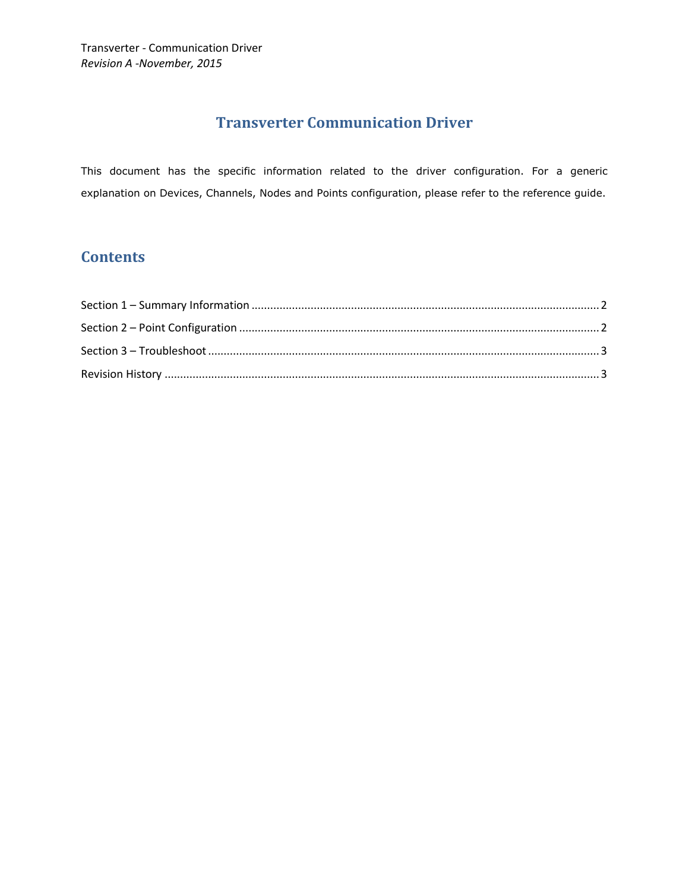## **Transverter Communication Driver**

This document has the specific information related to the driver configuration. For a generic explanation on Devices, Channels, Nodes and Points configuration, please refer to the reference guide.

## **Contents**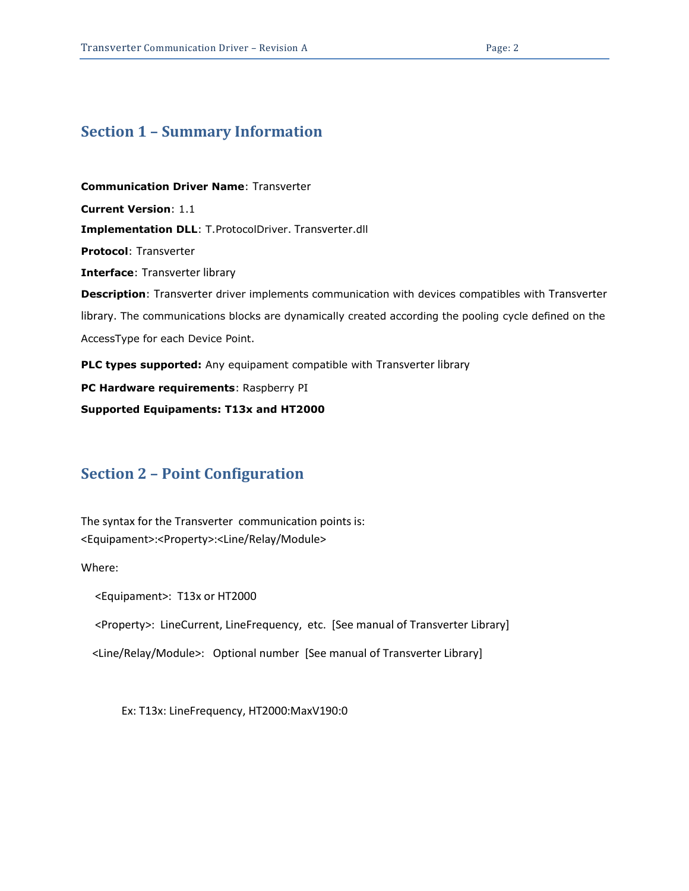#### <span id="page-1-0"></span>**Section 1 – Summary Information**

**Communication Driver Name**: Transverter **Current Version**: 1.1 **Implementation DLL**: T.ProtocolDriver. Transverter.dll **Protocol**: Transverter **Interface**: Transverter library **Description**: Transverter driver implements communication with devices compatibles with Transverter library. The communications blocks are dynamically created according the pooling cycle defined on the AccessType for each Device Point. **PLC types supported:** Any equipament compatible with Transverter library **PC Hardware requirements**: Raspberry PI

**Supported Equipaments: T13x and HT2000**

#### <span id="page-1-1"></span>**Section 2 – Point Configuration**

The syntax for the Transverter communication points is: <Equipament>:<Property>:<Line/Relay/Module>

Where:

<Equipament>: T13x or HT2000

<Property>: LineCurrent, LineFrequency, etc. [See manual of Transverter Library]

<Line/Relay/Module>: Optional number [See manual of Transverter Library]

Ex: T13x: LineFrequency, HT2000:MaxV190:0